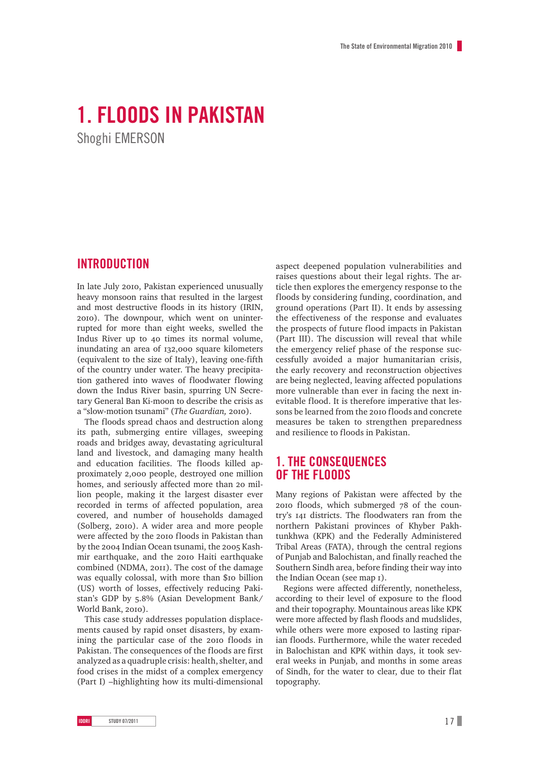# **1. Floods in Pakistan**

Shoghi EMERSON

# **Introduction**

In late July 2010, Pakistan experienced unusually heavy monsoon rains that resulted in the largest and most destructive floods in its history (IRIN, 2010). The downpour, which went on uninterrupted for more than eight weeks, swelled the Indus River up to 40 times its normal volume, inundating an area of 132,000 square kilometers (equivalent to the size of Italy), leaving one-fifth of the country under water. The heavy precipitation gathered into waves of floodwater flowing down the Indus River basin, spurring UN Secretary General Ban Ki-moon to describe the crisis as a "slow-motion tsunami" (*The Guardian,* 2010).

The floods spread chaos and destruction along its path, submerging entire villages, sweeping roads and bridges away, devastating agricultural land and livestock, and damaging many health and education facilities. The floods killed approximately 2,000 people, destroyed one million homes, and seriously affected more than 20 million people, making it the largest disaster ever recorded in terms of affected population, area covered, and number of households damaged (Solberg, 2010). A wider area and more people were affected by the 2010 floods in Pakistan than by the 2004 Indian Ocean tsunami, the 2005 Kashmir earthquake, and the 2010 Haiti earthquake combined (NDMA, 2011). The cost of the damage was equally colossal, with more than \$10 billion (US) worth of losses, effectively reducing Pakistan's GDP by 5.8% (Asian Development Bank/ World Bank, 2010).

This case study addresses population displacements caused by rapid onset disasters, by examining the particular case of the 2010 floods in Pakistan. The consequences of the floods are first analyzed as a quadruple crisis: health, shelter, and food crises in the midst of a complex emergency (Part I) –highlighting how its multi-dimensional

aspect deepened population vulnerabilities and raises questions about their legal rights. The article then explores the emergency response to the floods by considering funding, coordination, and ground operations (Part II). It ends by assessing the effectiveness of the response and evaluates the prospects of future flood impacts in Pakistan (Part III). The discussion will reveal that while the emergency relief phase of the response successfully avoided a major humanitarian crisis, the early recovery and reconstruction objectives are being neglected, leaving affected populations more vulnerable than ever in facing the next inevitable flood. It is therefore imperative that lessons be learned from the 2010 floods and concrete measures be taken to strengthen preparedness and resilience to floods in Pakistan.

# **1. The Consequences of the floods**

Many regions of Pakistan were affected by the 2010 floods, which submerged 78 of the country's 141 districts. The floodwaters ran from the northern Pakistani provinces of Khyber Pakhtunkhwa (KPK) and the Federally Administered Tribal Areas (FATA), through the central regions of Punjab and Balochistan, and finally reached the Southern Sindh area, before finding their way into the Indian Ocean (see map 1).

Regions were affected differently, nonetheless, according to their level of exposure to the flood and their topography. Mountainous areas like KPK were more affected by flash floods and mudslides, while others were more exposed to lasting riparian floods. Furthermore, while the water receded in Balochistan and KPK within days, it took several weeks in Punjab, and months in some areas of Sindh, for the water to clear, due to their flat topography.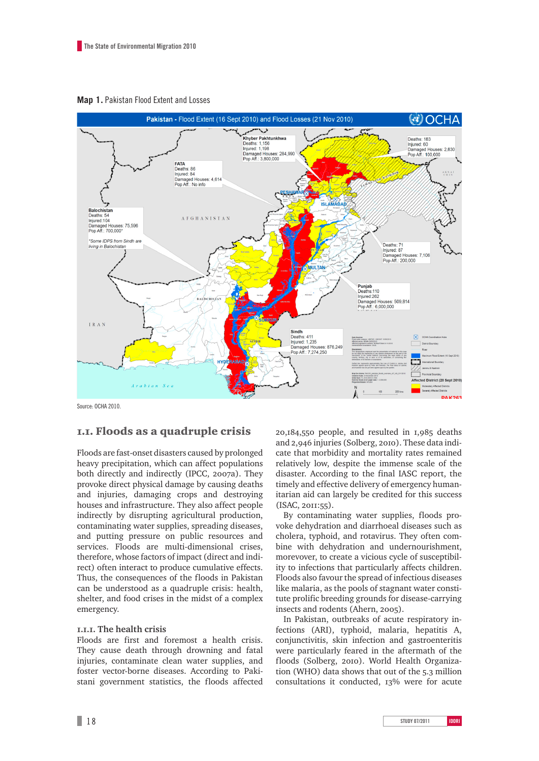



Source: OCHA 2010

## 1.1. Floods as a quadruple crisis

Floods are fast-onset disasters caused by prolonged heavy precipitation, which can affect populations both directly and indirectly (IPCC, 2007a). They provoke direct physical damage by causing deaths and injuries, damaging crops and destroying houses and infrastructure. They also affect people indirectly by disrupting agricultural production, contaminating water supplies, spreading diseases, and putting pressure on public resources and services. Floods are multi-dimensional crises, therefore, whose factors of impact (direct and indirect) often interact to produce cumulative effects. Thus, the consequences of the floods in Pakistan can be understood as a quadruple crisis: health, shelter, and food crises in the midst of a complex emergency.

### **1.1.1. The health crisis**

Floods are first and foremost a health crisis. They cause death through drowning and fatal injuries, contaminate clean water supplies, and foster vector-borne diseases. According to Pakistani government statistics, the floods affected 20,184,550 people, and resulted in 1,985 deaths and 2,946 injuries (Solberg, 2010). These data indicate that morbidity and mortality rates remained relatively low, despite the immense scale of the disaster. According to the final IASC report, the timely and effective delivery of emergency humanitarian aid can largely be credited for this success (ISAC, 2011:55).

By contaminating water supplies, floods provoke dehydration and diarrhoeal diseases such as cholera, typhoid, and rotavirus. They often combine with dehydration and undernourishment, morevover, to create a vicious cycle of susceptibility to infections that particularly affects children. Floods also favour the spread of infectious diseases like malaria, as the pools of stagnant water constitute prolific breeding grounds for disease-carrying insects and rodents (Ahern, 2005).

In Pakistan, outbreaks of acute respiratory infections (ARI), typhoid, malaria, hepatitis A, conjunctivitis, skin infection and gastroenteritis were particularly feared in the aftermath of the floods (Solberg, 2010). World Health Organization (WHO) data shows that out of the 5.3 million consultations it conducted, 13% were for acute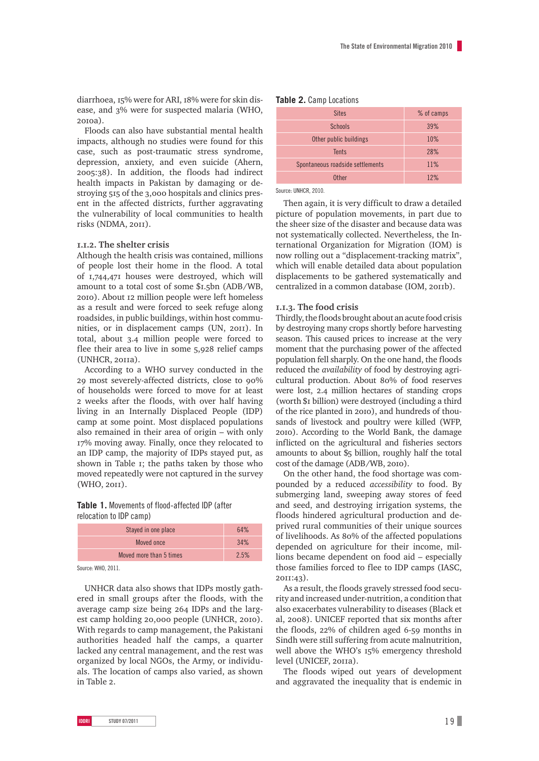diarrhoea, 15% were for ARI, 18% were for skin disease, and 3% were for suspected malaria (WHO,  $20<sub>10a</sub>$ 

Floods can also have substantial mental health impacts, although no studies were found for this case, such as post-traumatic stress syndrome, depression, anxiety, and even suicide (Ahern, 2005:38). In addition, the floods had indirect health impacts in Pakistan by damaging or destroying 515 of the 3,000 hospitals and clinics present in the affected districts, further aggravating the vulnerability of local communities to health risks (NDMA, 2011).

#### **1.1.2. The shelter crisis**

Although the health crisis was contained, millions of people lost their home in the flood. A total of 1,744,471 houses were destroyed, which will amount to a total cost of some \$1.5bn (ADB/WB, 2010). About 12 million people were left homeless as a result and were forced to seek refuge along roadsides, in public buildings, within host communities, or in displacement camps (UN, 2011). In total, about 3.4 million people were forced to flee their area to live in some 5,928 relief camps (UNHCR, 2011a).

According to a WHO survey conducted in the 29 most severely-affected districts, close to 90% of households were forced to move for at least 2 weeks after the floods, with over half having living in an Internally Displaced People (IDP) camp at some point. Most displaced populations also remained in their area of origin – with only 17% moving away. Finally, once they relocated to an IDP camp, the majority of IDPs stayed put, as shown in Table 1; the paths taken by those who moved repeatedly were not captured in the survey (WHO, 2011).

### **Table 1.** Movements of flood-affected IDP (after relocation to IDP camp)

| Stayed in one place     | 64%  |
|-------------------------|------|
| Moved once              | 34%  |
| Moved more than 5 times | 2.5% |

Source: WHO, 2011.

UNHCR data also shows that IDPs mostly gathered in small groups after the floods, with the average camp size being 264 IDPs and the largest camp holding 20,000 people (UNHCR, 2010). With regards to camp management, the Pakistani authorities headed half the camps, a quarter lacked any central management, and the rest was organized by local NGOs, the Army, or individuals. The location of camps also varied, as shown in Table 2.

#### **Table 2.** Camp Locations

| <b>Sites</b>                     | % of camps |
|----------------------------------|------------|
| <b>Schools</b>                   | 39%        |
| Other public buildings           | 10%        |
| <b>Tents</b>                     | 28%        |
| Spontaneous roadside settlements | 11%        |
| <b>Other</b>                     | 12%        |
|                                  |            |

Source: UNHCR, 2010.

Then again, it is very difficult to draw a detailed picture of population movements, in part due to the sheer size of the disaster and because data was not systematically collected. Nevertheless, the International Organization for Migration (IOM) is now rolling out a "displacement-tracking matrix", which will enable detailed data about population displacements to be gathered systematically and centralized in a common database (IOM, 2011b).

#### **1.1.3. The food crisis**

Thirdly, the floods brought about an acute food crisis by destroying many crops shortly before harvesting season. This caused prices to increase at the very moment that the purchasing power of the affected population fell sharply. On the one hand, the floods reduced the *availability* of food by destroying agricultural production. About 80% of food reserves were lost, 2.4 million hectares of standing crops (worth \$1 billion) were destroyed (including a third of the rice planted in 2010), and hundreds of thousands of livestock and poultry were killed (WFP, 2010). According to the World Bank, the damage inflicted on the agricultural and fisheries sectors amounts to about \$5 billion, roughly half the total cost of the damage (ADB/WB, 2010).

On the other hand, the food shortage was compounded by a reduced *accessibility* to food. By submerging land, sweeping away stores of feed and seed, and destroying irrigation systems, the floods hindered agricultural production and deprived rural communities of their unique sources of livelihoods. As 80% of the affected populations depended on agriculture for their income, millions became dependent on food aid – especially those families forced to flee to IDP camps (IASC, 2011:43).

As a result, the floods gravely stressed food security and increased under-nutrition, a condition that also exacerbates vulnerability to diseases (Black et al, 2008). UNICEF reported that six months after the floods, 22% of children aged 6-59 months in Sindh were still suffering from acute malnutrition, well above the WHO's 15% emergency threshold level (UNICEF, 2011a).

The floods wiped out years of development and aggravated the inequality that is endemic in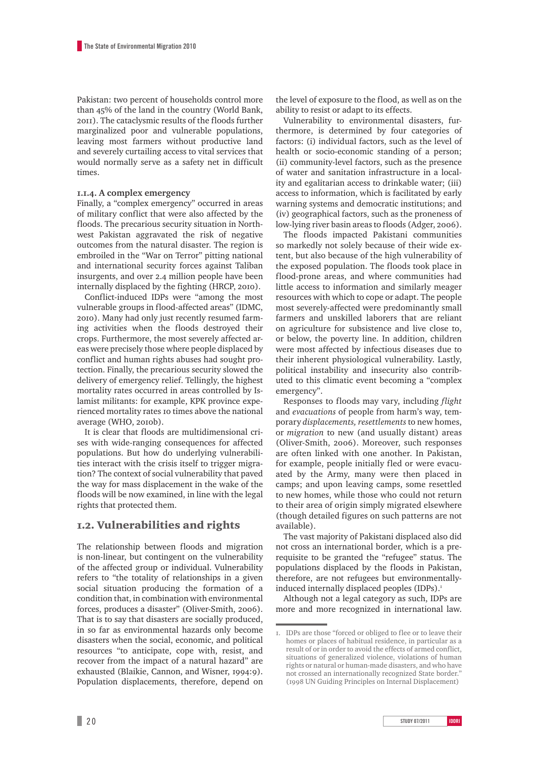Pakistan: two percent of households control more than 45% of the land in the country (World Bank, 2011). The cataclysmic results of the floods further marginalized poor and vulnerable populations, leaving most farmers without productive land and severely curtailing access to vital services that would normally serve as a safety net in difficult times.

### **1.1.4. A complex emergency**

Finally, a "complex emergency" occurred in areas of military conflict that were also affected by the floods. The precarious security situation in Northwest Pakistan aggravated the risk of negative outcomes from the natural disaster. The region is embroiled in the "War on Terror" pitting national and international security forces against Taliban insurgents, and over 2.4 million people have been internally displaced by the fighting (HRCP, 2010).

Conflict-induced IDPs were "among the most vulnerable groups in flood-affected areas" (IDMC, 2010). Many had only just recently resumed farming activities when the floods destroyed their crops. Furthermore, the most severely affected areas were precisely those where people displaced by conflict and human rights abuses had sought protection. Finally, the precarious security slowed the delivery of emergency relief. Tellingly, the highest mortality rates occurred in areas controlled by Islamist militants: for example, KPK province experienced mortality rates 10 times above the national average (WHO, 2010b).

It is clear that floods are multidimensional crises with wide-ranging consequences for affected populations. But how do underlying vulnerabilities interact with the crisis itself to trigger migration? The context of social vulnerability that paved the way for mass displacement in the wake of the floods will be now examined, in line with the legal rights that protected them.

## 1.2. Vulnerabilities and rights

The relationship between floods and migration is non-linear, but contingent on the vulnerability of the affected group or individual. Vulnerability refers to "the totality of relationships in a given social situation producing the formation of a condition that, in combination with environmental forces, produces a disaster" (Oliver-Smith, 2006). That is to say that disasters are socially produced, in so far as environmental hazards only become disasters when the social, economic, and political resources "to anticipate, cope with, resist, and recover from the impact of a natural hazard" are exhausted (Blaikie, Cannon, and Wisner, 1994:9). Population displacements, therefore, depend on the level of exposure to the flood, as well as on the ability to resist or adapt to its effects.

Vulnerability to environmental disasters, furthermore, is determined by four categories of factors: (i) individual factors, such as the level of health or socio-economic standing of a person; (ii) community-level factors, such as the presence of water and sanitation infrastructure in a locality and egalitarian access to drinkable water; (iii) access to information, which is facilitated by early warning systems and democratic institutions; and (iv) geographical factors, such as the proneness of low-lying river basin areas to floods (Adger, 2006).

The floods impacted Pakistani communities so markedly not solely because of their wide extent, but also because of the high vulnerability of the exposed population. The floods took place in flood-prone areas, and where communities had little access to information and similarly meager resources with which to cope or adapt. The people most severely-affected were predominantly small farmers and unskilled laborers that are reliant on agriculture for subsistence and live close to, or below, the poverty line. In addition, children were most affected by infectious diseases due to their inherent physiological vulnerability. Lastly, political instability and insecurity also contributed to this climatic event becoming a "complex emergency".

Responses to floods may vary, including *flight* and *evacuations* of people from harm's way, temporary *displacements, resettlements* to new homes, or *migration* to new (and usually distant) areas (Oliver-Smith, 2006). Moreover, such responses are often linked with one another. In Pakistan, for example, people initially fled or were evacuated by the Army, many were then placed in camps; and upon leaving camps, some resettled to new homes, while those who could not return to their area of origin simply migrated elsewhere (though detailed figures on such patterns are not available).

The vast majority of Pakistani displaced also did not cross an international border, which is a prerequisite to be granted the "refugee" status. The populations displaced by the floods in Pakistan, therefore, are not refugees but environmentallyinduced internally displaced peoples (IDPs).<sup>1</sup>

Although not a legal category as such, IDPs are more and more recognized in international law.

**2 0 study 07/2011 IDDRI** 

<sup>1.</sup> IDPs are those "forced or obliged to flee or to leave their homes or places of habitual residence, in particular as a result of or in order to avoid the effects of armed conflict, situations of generalized violence, violations of human rights or natural or human-made disasters, and who have not crossed an internationally recognized State border. (1998 UN Guiding Principles on Internal Displacement)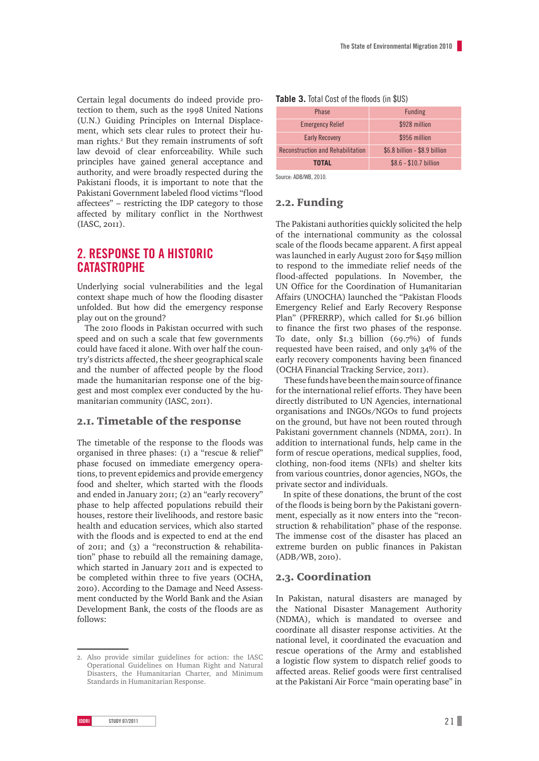Certain legal documents do indeed provide protection to them, such as the 1998 United Nations (U.N.) Guiding Principles on Internal Displacement, which sets clear rules to protect their human rights.<sup>2</sup> But they remain instruments of soft law devoid of clear enforceability. While such principles have gained general acceptance and authority, and were broadly respected during the Pakistani floods, it is important to note that the Pakistani Government labeled flood victims "flood affectees" – restricting the IDP category to those affected by military conflict in the Northwest (IASC, 2011).

# **2. Response to a historic catastrophe**

Underlying social vulnerabilities and the legal context shape much of how the flooding disaster unfolded. But how did the emergency response play out on the ground?

The 2010 floods in Pakistan occurred with such speed and on such a scale that few governments could have faced it alone. With over half the country's districts affected, the sheer geographical scale and the number of affected people by the flood made the humanitarian response one of the biggest and most complex ever conducted by the humanitarian community (IASC, 2011).

## 2.1. Timetable of the response

The timetable of the response to the floods was organised in three phases: (1) a "rescue & relief" phase focused on immediate emergency operations, to prevent epidemics and provide emergency food and shelter, which started with the floods and ended in January 2011; (2) an "early recovery" phase to help affected populations rebuild their houses, restore their livelihoods, and restore basic health and education services, which also started with the floods and is expected to end at the end of 2011; and (3) a "reconstruction & rehabilitation" phase to rebuild all the remaining damage, which started in January 2011 and is expected to be completed within three to five years (OCHA, 2010). According to the Damage and Need Assessment conducted by the World Bank and the Asian Development Bank, the costs of the floods are as follows:

#### **Table 3.** Total Cost of the floods (in \$US)

| <b>Phase</b>                             | <b>Funding</b>                |
|------------------------------------------|-------------------------------|
| <b>Emergency Relief</b>                  | \$928 million                 |
| <b>Early Recovery</b>                    | \$956 million                 |
| <b>Reconstruction and Rehabilitation</b> | \$6.8 billion - \$8.9 billion |
| <b>TOTAL</b>                             | $$8.6 - $10.7$ billion        |

Source: ADB/WB, 2010.

## 2.2. Funding

The Pakistani authorities quickly solicited the help of the international community as the colossal scale of the floods became apparent. A first appeal was launched in early August 2010 for \$459 million to respond to the immediate relief needs of the flood-affected populations. In November, the UN Office for the Coordination of Humanitarian Affairs (UNOCHA) launched the "Pakistan Floods Emergency Relief and Early Recovery Response Plan" (PFRERRP), which called for \$1.96 billion to finance the first two phases of the response. To date, only \$1.3 billion (69.7%) of funds requested have been raised, and only 34% of the early recovery components having been financed (OCHA Financial Tracking Service, 2011).

 These funds have been the main source of finance for the international relief efforts. They have been directly distributed to UN Agencies, international organisations and INGOs/NGOs to fund projects on the ground, but have not been routed through Pakistani government channels (NDMA, 2011). In addition to international funds, help came in the form of rescue operations, medical supplies, food, clothing, non-food items (NFIs) and shelter kits from various countries, donor agencies, NGOs, the private sector and individuals.

In spite of these donations, the brunt of the cost of the floods is being born by the Pakistani government, especially as it now enters into the "reconstruction & rehabilitation" phase of the response. The immense cost of the disaster has placed an extreme burden on public finances in Pakistan (ADB/WB, 2010).

## 2.3. Coordination

In Pakistan, natural disasters are managed by the National Disaster Management Authority (NDMA), which is mandated to oversee and coordinate all disaster response activities. At the national level, it coordinated the evacuation and rescue operations of the Army and established a logistic flow system to dispatch relief goods to affected areas. Relief goods were first centralised at the Pakistani Air Force "main operating base" in

<sup>2.</sup> Also provide similar guidelines for action: the IASC Operational Guidelines on Human Right and Natural Disasters, the Humanitarian Charter, and Minimum Standards in Humanitarian Response.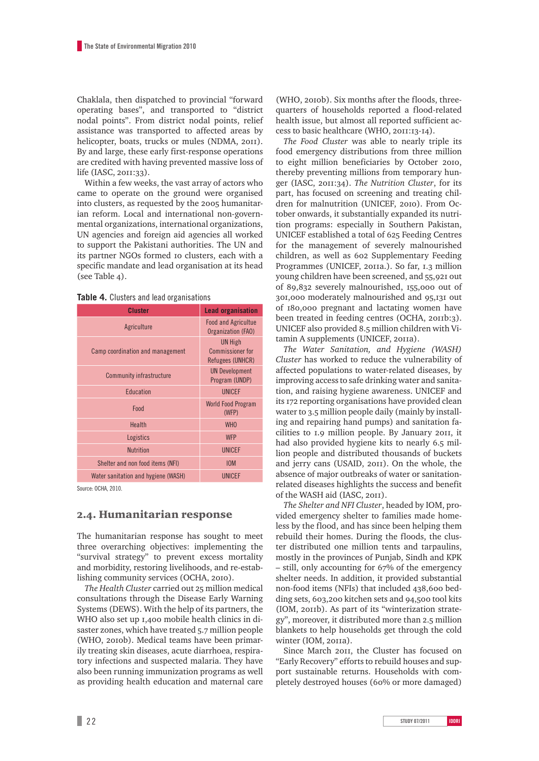Chaklala, then dispatched to provincial "forward operating bases", and transported to "district nodal points". From district nodal points, relief assistance was transported to affected areas by helicopter, boats, trucks or mules (NDMA, 2011). By and large, these early first-response operations are credited with having prevented massive loss of life (IASC, 2011:33).

Within a few weeks, the vast array of actors who came to operate on the ground were organised into clusters, as requested by the 2005 humanitarian reform. Local and international non-governmental organizations, international organizations, UN agencies and foreign aid agencies all worked to support the Pakistani authorities. The UN and its partner NGOs formed 10 clusters, each with a specific mandate and lead organisation at its head (see Table 4).

|  |  |  |  | Table 4. Clusters and lead organisations |
|--|--|--|--|------------------------------------------|
|--|--|--|--|------------------------------------------|

| <b>Cluster</b>                      | <b>Lead organisation</b>                               |
|-------------------------------------|--------------------------------------------------------|
| Agriculture                         | <b>Food and Agricultue</b><br>Organization (FAO)       |
| Camp coordination and management    | <b>UN High</b><br>Commissioner for<br>Refugees (UNHCR) |
| Community infrastructure            | <b>UN Development</b><br>Program (UNDP)                |
| Education                           | <b>UNICEF</b>                                          |
| Food                                | <b>World Food Program</b><br>(WFP)                     |
| Health                              | <b>WHO</b>                                             |
| Logistics                           | <b>WFP</b>                                             |
| <b>Nutrition</b>                    | <b>UNICEF</b>                                          |
| Shelter and non food items (NFI)    | <b>IOM</b>                                             |
| Water sanitation and hygiene (WASH) | <b>UNICEF</b>                                          |

Source: OCHA, 2010.

#### 2.4. Humanitarian response

The humanitarian response has sought to meet three overarching objectives: implementing the "survival strategy" to prevent excess mortality and morbidity, restoring livelihoods, and re-establishing community services (OCHA, 2010).

*The Health Cluster* carried out 25 million medical consultations through the Disease Early Warning Systems (DEWS). With the help of its partners, the WHO also set up 1,400 mobile health clinics in disaster zones, which have treated 5.7 million people (WHO, 2010b). Medical teams have been primarily treating skin diseases, acute diarrhoea, respiratory infections and suspected malaria. They have also been running immunization programs as well as providing health education and maternal care

(WHO, 2010b). Six months after the floods, threequarters of households reported a flood-related health issue, but almost all reported sufficient access to basic healthcare (WHO, 2011:13-14).

*The Food Cluster* was able to nearly triple its food emergency distributions from three million to eight million beneficiaries by October 2010, thereby preventing millions from temporary hunger (IASC, 2011:34). *The Nutrition Cluster*, for its part, has focused on screening and treating children for malnutrition (UNICEF, 2010). From October onwards, it substantially expanded its nutrition programs: especially in Southern Pakistan, UNICEF established a total of 625 Feeding Centres for the management of severely malnourished children, as well as 602 Supplementary Feeding Programmes (UNICEF, 2011a.). So far, 1.3 million young children have been screened, and 55,921 out of 89,832 severely malnourished, 155,000 out of 301,000 moderately malnourished and 95,131 out of 180,000 pregnant and lactating women have been treated in feeding centres (OCHA, 2011b:3). UNICEF also provided 8.5 million children with Vitamin A supplements (UNICEF, 2011a).

*The Water Sanitation, and Hygiene (WASH) Cluster* has worked to reduce the vulnerability of affected populations to water-related diseases, by improving access to safe drinking water and sanitation, and raising hygiene awareness. UNICEF and its 172 reporting organisations have provided clean water to 3.5 million people daily (mainly by installing and repairing hand pumps) and sanitation facilities to 1.9 million people. By January 2011, it had also provided hygiene kits to nearly 6.5 million people and distributed thousands of buckets and jerry cans (USAID, 2011). On the whole, the absence of major outbreaks of water or sanitationrelated diseases highlights the success and benefit of the WASH aid (IASC, 2011).

*The Shelter and NFI Cluster*, headed by IOM, provided emergency shelter to families made homeless by the flood, and has since been helping them rebuild their homes. During the floods, the cluster distributed one million tents and tarpaulins, mostly in the provinces of Punjab, Sindh and KPK – still, only accounting for 67% of the emergency shelter needs. In addition, it provided substantial non-food items (NFIs) that included 438,600 bedding sets, 603,200 kitchen sets and 94,500 tool kits (IOM, 2011b). As part of its "winterization strategy", moreover, it distributed more than 2.5 million blankets to help households get through the cold winter (IOM, 2011a).

Since March 2011, the Cluster has focused on "Early Recovery" efforts to rebuild houses and support sustainable returns. Households with completely destroyed houses (60% or more damaged)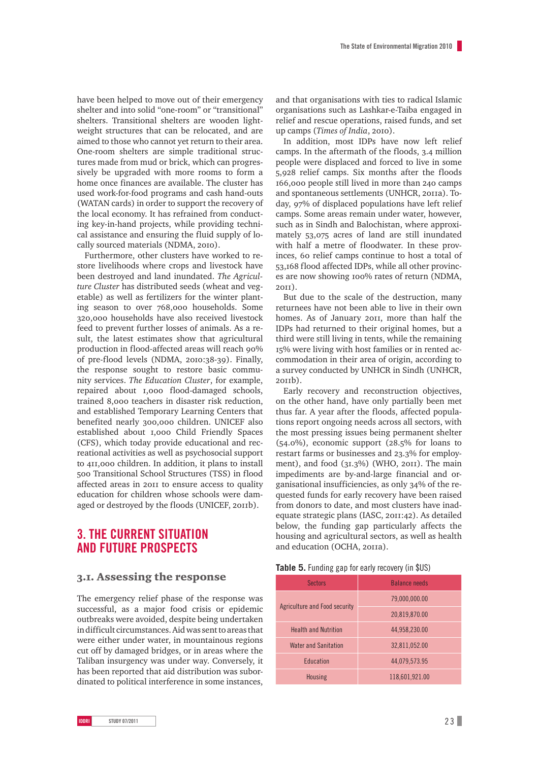have been helped to move out of their emergency shelter and into solid "one-room" or "transitional" shelters. Transitional shelters are wooden lightweight structures that can be relocated, and are aimed to those who cannot yet return to their area. One-room shelters are simple traditional structures made from mud or brick, which can progressively be upgraded with more rooms to form a home once finances are available. The cluster has used work-for-food programs and cash hand-outs (WATAN cards) in order to support the recovery of the local economy. It has refrained from conducting key-in-hand projects, while providing technical assistance and ensuring the fluid supply of locally sourced materials (NDMA, 2010).

Furthermore, other clusters have worked to restore livelihoods where crops and livestock have been destroyed and land inundated. *The Agriculture Cluster* has distributed seeds (wheat and vegetable) as well as fertilizers for the winter planting season to over 768,000 households. Some 320,000 households have also received livestock feed to prevent further losses of animals. As a result, the latest estimates show that agricultural production in flood-affected areas will reach 90% of pre-flood levels (NDMA, 2010:38-39). Finally, the response sought to restore basic community services. *The Education Cluster*, for example, repaired about 1,000 flood-damaged schools, trained 8,000 teachers in disaster risk reduction, and established Temporary Learning Centers that benefited nearly 300,000 children. UNICEF also established about 1,000 Child Friendly Spaces (CFS), which today provide educational and recreational activities as well as psychosocial support to 411,000 children. In addition, it plans to install 500 Transitional School Structures (TSS) in flood affected areas in 2011 to ensure access to quality education for children whose schools were damaged or destroyed by the floods (UNICEF, 2011b).

# **3. The Current situation and future prospects**

## 3.1. Assessing the response

The emergency relief phase of the response was successful, as a major food crisis or epidemic outbreaks were avoided, despite being undertaken in difficult circumstances. Aid was sent to areas that were either under water, in mountainous regions cut off by damaged bridges, or in areas where the Taliban insurgency was under way. Conversely, it has been reported that aid distribution was subordinated to political interference in some instances,

and that organisations with ties to radical Islamic organisations such as Lashkar-e-Taiba engaged in relief and rescue operations, raised funds, and set up camps (*Times of India*, 2010).

In addition, most IDPs have now left relief camps. In the aftermath of the floods, 3.4 million people were displaced and forced to live in some 5,928 relief camps. Six months after the floods 166,000 people still lived in more than 240 camps and spontaneous settlements (UNHCR, 2011a). Today, 97% of displaced populations have left relief camps. Some areas remain under water, however, such as in Sindh and Balochistan, where approximately 53,075 acres of land are still inundated with half a metre of floodwater. In these provinces, 60 relief camps continue to host a total of 53,168 flood affected IDPs, while all other provinces are now showing 100% rates of return (NDMA, 2011).

But due to the scale of the destruction, many returnees have not been able to live in their own homes. As of January 2011, more than half the IDPs had returned to their original homes, but a third were still living in tents, while the remaining 15% were living with host families or in rented accommodation in their area of origin, according to a survey conducted by UNHCR in Sindh (UNHCR,  $201<sub>1</sub>b$ ).

Early recovery and reconstruction objectives, on the other hand, have only partially been met thus far. A year after the floods, affected populations report ongoing needs across all sectors, with the most pressing issues being permanent shelter (54.0%), economic support (28.5% for loans to restart farms or businesses and 23.3% for employment), and food (31.3%) (WHO, 2011). The main impediments are by-and-large financial and organisational insufficiencies, as only 34% of the requested funds for early recovery have been raised from donors to date, and most clusters have inadequate strategic plans (IASC, 2011:42). As detailed below, the funding gap particularly affects the housing and agricultural sectors, as well as health and education (OCHA, 2011a).

| Table 5. Funding gap for early recovery (in \$US) |  |
|---------------------------------------------------|--|
|---------------------------------------------------|--|

| <b>Sectors</b>                | <b>Balance needs</b> |
|-------------------------------|----------------------|
|                               | 79,000,000.00        |
| Agriculture and Food security | 20,819,870.00        |
| <b>Health and Nutrition</b>   | 44,958,230.00        |
| <b>Water and Sanitation</b>   | 32,811,052.00        |
| Education                     | 44,079,573.95        |
| <b>Housing</b>                | 118,601,921.00       |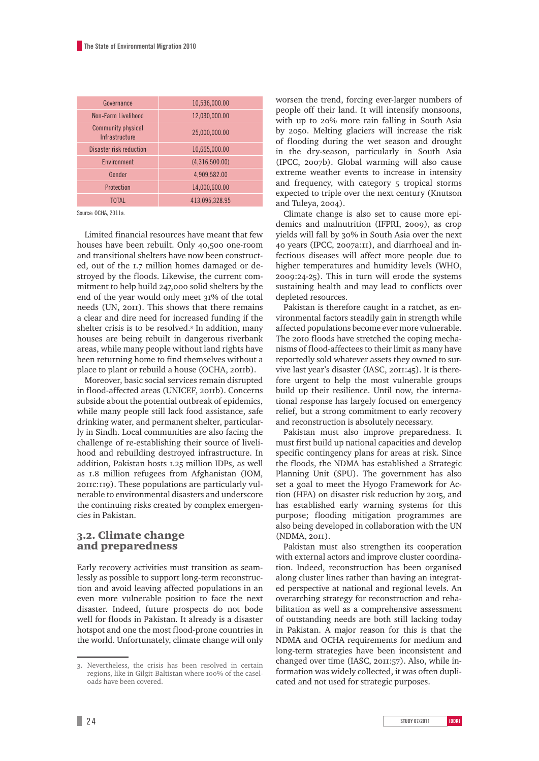| 10,536,000.00  |
|----------------|
| 12,030,000.00  |
| 25,000,000.00  |
| 10,665,000.00  |
| (4,316,500.00) |
| 4,909,582.00   |
| 14,000,600.00  |
| 413,095,328.95 |
|                |

Source: OCHA, 2011a.

Limited financial resources have meant that few houses have been rebuilt. Only 40,500 one-room and transitional shelters have now been constructed, out of the 1.7 million homes damaged or destroyed by the floods. Likewise, the current commitment to help build 247,000 solid shelters by the end of the year would only meet 31% of the total needs (UN, 2011). This shows that there remains a clear and dire need for increased funding if the shelter crisis is to be resolved.<sup>3</sup> In addition, many houses are being rebuilt in dangerous riverbank areas, while many people without land rights have been returning home to find themselves without a place to plant or rebuild a house (OCHA, 2011b).

Moreover, basic social services remain disrupted in flood-affected areas (UNICEF, 2011b). Concerns subside about the potential outbreak of epidemics, while many people still lack food assistance, safe drinking water, and permanent shelter, particularly in Sindh. Local communities are also facing the challenge of re-establishing their source of livelihood and rebuilding destroyed infrastructure. In addition, Pakistan hosts 1.25 million IDPs, as well as 1.8 million refugees from Afghanistan (IOM, 2011c:119). These populations are particularly vulnerable to environmental disasters and underscore the continuing risks created by complex emergencies in Pakistan.

## 3.2. Climate change and preparedness

Early recovery activities must transition as seamlessly as possible to support long-term reconstruction and avoid leaving affected populations in an even more vulnerable position to face the next disaster. Indeed, future prospects do not bode well for floods in Pakistan. It already is a disaster hotspot and one the most flood-prone countries in the world. Unfortunately, climate change will only worsen the trend, forcing ever-larger numbers of people off their land. It will intensify monsoons, with up to 20% more rain falling in South Asia by 2050. Melting glaciers will increase the risk of flooding during the wet season and drought in the dry-season, particularly in South Asia (IPCC, 2007b). Global warming will also cause extreme weather events to increase in intensity and frequency, with category 5 tropical storms expected to triple over the next century (Knutson and Tuleya, 2004).

Climate change is also set to cause more epidemics and malnutrition (IFPRI, 2009), as crop yields will fall by 30% in South Asia over the next 40 years (IPCC, 2007a:11), and diarrhoeal and infectious diseases will affect more people due to higher temperatures and humidity levels (WHO, 2009:24-25). This in turn will erode the systems sustaining health and may lead to conflicts over depleted resources.

Pakistan is therefore caught in a ratchet, as environmental factors steadily gain in strength while affected populations become ever more vulnerable. The 2010 floods have stretched the coping mechanisms of flood-affectees to their limit as many have reportedly sold whatever assets they owned to survive last year's disaster (IASC, 2011:45). It is therefore urgent to help the most vulnerable groups build up their resilience. Until now, the international response has largely focused on emergency relief, but a strong commitment to early recovery and reconstruction is absolutely necessary.

Pakistan must also improve preparedness. It must first build up national capacities and develop specific contingency plans for areas at risk. Since the floods, the NDMA has established a Strategic Planning Unit (SPU). The government has also set a goal to meet the Hyogo Framework for Action (HFA) on disaster risk reduction by 2015, and has established early warning systems for this purpose; flooding mitigation programmes are also being developed in collaboration with the UN (NDMA, 2011).

Pakistan must also strengthen its cooperation with external actors and improve cluster coordination. Indeed, reconstruction has been organised along cluster lines rather than having an integrated perspective at national and regional levels. An overarching strategy for reconstruction and rehabilitation as well as a comprehensive assessment of outstanding needs are both still lacking today in Pakistan. A major reason for this is that the NDMA and OCHA requirements for medium and long-term strategies have been inconsistent and changed over time (IASC, 2011:57). Also, while information was widely collected, it was often duplicated and not used for strategic purposes.

<sup>3.</sup> Nevertheless, the crisis has been resolved in certain regions, like in Gilgit-Baltistan where 100% of the caseloads have been covered.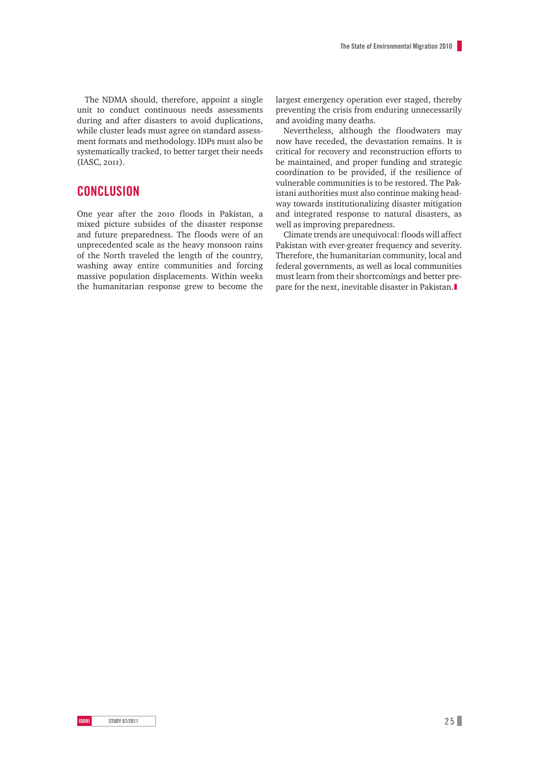The NDMA should, therefore, appoint a single unit to conduct continuous needs assessments during and after disasters to avoid duplications, while cluster leads must agree on standard assessment formats and methodology. IDPs must also be systematically tracked, to better target their needs (IASC, 2011).

## **Conclusion**

One year after the 2010 floods in Pakistan, a mixed picture subsides of the disaster response and future preparedness. The floods were of an unprecedented scale as the heavy monsoon rains of the North traveled the length of the country, washing away entire communities and forcing massive population displacements. Within weeks the humanitarian response grew to become the largest emergency operation ever staged, thereby preventing the crisis from enduring unnecessarily and avoiding many deaths.

Nevertheless, although the floodwaters may now have receded, the devastation remains. It is critical for recovery and reconstruction efforts to be maintained, and proper funding and strategic coordination to be provided, if the resilience of vulnerable communities is to be restored. The Pakistani authorities must also continue making headway towards institutionalizing disaster mitigation and integrated response to natural disasters, as well as improving preparedness.

Climate trends are unequivocal: floods will affect Pakistan with ever-greater frequency and severity. Therefore, the humanitarian community, local and federal governments, as well as local communities must learn from their shortcomings and better prepare for the next, inevitable disaster in Pakistan.❚